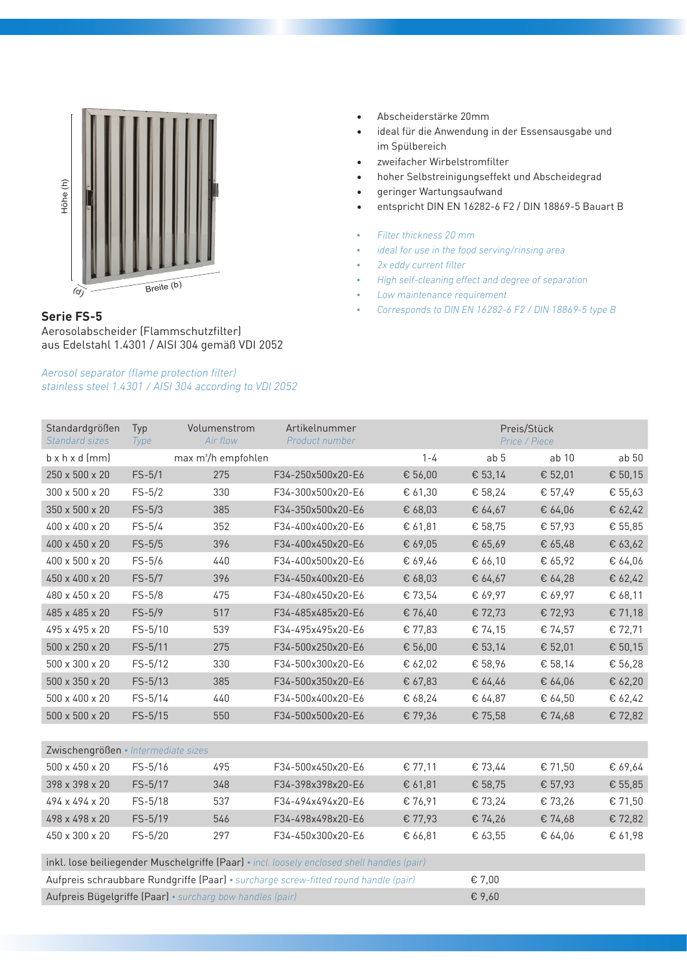

## **Serie FS-5**

Aerosolabscheider (Flammschutzfilter) aus Edelstahl 1.4301 / AISI 304 gemäß VDI 2052

#### *Aerosol separator (flame protection filter) stainless steel 1.4301 / AISI 304 according to VDI 2052*

• Abscheiderstärke 20mm

- ideal für die Anwendung in der Essensausgabe und im Spülbereich
- zweifacher Wirbelstromfilter
- hoher Selbstreinigungseffekt und Abscheidegrad
- • geringer Wartungsaufwand
- • entspricht DIN EN 16282-6 F2 / DIN 18869-5 Bauart B
- *• Filter thickness 20 mm*
- *• ideal for use in the food serving/rinsing area*
- *• 2x eddy current filter*
- *• High self-cleaning effect and degree of separation*
- *• Low maintenance requirement*
- *• Corresponds to DIN EN 16282-6 F2 / DIN 18869-5 type B*

| Standardgrößen<br>Standard sizes                                                           | Typ<br>Type | Volumenstrom<br>Air flow        | Artikelnummer<br>Product number |         |                 | Preis/Stück<br>Price / Piece |                  |
|--------------------------------------------------------------------------------------------|-------------|---------------------------------|---------------------------------|---------|-----------------|------------------------------|------------------|
| $b \times h \times d$ (mm)                                                                 |             | max m <sup>3</sup> /h empfohlen |                                 | $1 - 4$ | ab <sub>5</sub> | ab 10                        | ab <sub>50</sub> |
| 250 x 500 x 20                                                                             | $FS-5/1$    | 275                             | F34-250x500x20-E6               | € 56,00 | € 53,14         | € 52,01                      | € 50,15          |
| 300 x 500 x 20                                                                             | $FS-5/2$    | 330                             | F34-300x500x20-E6               | € 61,30 | € 58,24         | € 57,49                      | € 55,63          |
| 350 x 500 x 20                                                                             | $FS-5/3$    | 385                             | F34-350x500x20-E6               | € 68,03 | € 64,67         | € 64,06                      | € 62,42          |
| 400 x 400 x 20                                                                             | $FS-5/4$    | 352                             | F34-400x400x20-E6               | € 61,81 | € 58,75         | € 57,93                      | € 55,85          |
| 400 x 450 x 20                                                                             | $FS-5/5$    | 396                             | F34-400x450x20-E6               | € 69,05 | € 65,69         | € 65,48                      | € 63,62          |
| 400 x 500 x 20                                                                             | $FS-5/6$    | 440                             | F34-400x500x20-E6               | € 69,46 | € 66,10         | € 65,92                      | € 64,06          |
| 450 x 400 x 20                                                                             | $FS-5/7$    | 396                             | F34-450x400x20-E6               | € 68,03 | € 64,67         | € 64,28                      | € 62,42          |
| 480 x 450 x 20                                                                             | $FS-5/8$    | 475                             | F34-480x450x20-E6               | € 73,54 | € 69,97         | € 69,97                      | € 68,11          |
| 485 x 485 x 20                                                                             | $FS-5/9$    | 517                             | F34-485x485x20-E6               | € 76,40 | € 72,73         | € 72,93                      | € 71,18          |
| 495 x 495 x 20                                                                             | FS-5/10     | 539                             | F34-495x495x20-E6               | € 77,83 | € 74,15         | € 74,57                      | € 72,71          |
| 500 x 250 x 20                                                                             | $FS-5/11$   | 275                             | F34-500x250x20-E6               | € 56,00 | € 53,14         | € 52,01                      | € 50,15          |
| 500 x 300 x 20                                                                             | $FS-5/12$   | 330                             | F34-500x300x20-E6               | € 62,02 | € 58,96         | € 58,14                      | € 56,28          |
| 500 x 350 x 20                                                                             | $FS-5/13$   | 385                             | F34-500x350x20-E6               | € 67,83 | € 64,46         | € 64,06                      | € 62,20          |
| 500 x 400 x 20                                                                             | $FS - 5/14$ | 440                             | F34-500x400x20-E6               | € 68,24 | € 64,87         | € 64,50                      | € 62,42          |
| $500 \times 500 \times 20$                                                                 | $FS-5/15$   | 550                             | F34-500x500x20-E6               | € 79,36 | € 75,58         | € 74,68                      | € 72,82          |
|                                                                                            |             |                                 |                                 |         |                 |                              |                  |
| Zwischengrößen • Intermediate sizes                                                        |             |                                 |                                 |         |                 |                              |                  |
| 500 x 450 x 20                                                                             | $FS-5/16$   | 495                             | F34-500x450x20-E6               | € 77,11 | € 73,44         | € 71,50                      | € 69,64          |
| 398 x 398 x 20                                                                             | FS-5/17     | 348                             | F34-398x398x20-E6               | € 61,81 | € 58,75         | € 57,93                      | € 55,85          |
| 494 x 494 x 20                                                                             | $FS-5/18$   | 537                             | F34-494x494x20-E6               | € 76,91 | € 73,24         | € 73,26                      | € 71,50          |
| 498 x 498 x 20                                                                             | FS-5/19     | 546                             | F34-498x498x20-E6               | € 77,93 | € 74,26         | € 74,68                      | € 72,82          |
| 450 x 300 x 20                                                                             | $FS - 5/20$ | 297                             | F34-450x300x20-E6               | € 66,81 | € 63,55         | € 64,06                      | € 61,98          |
| inkl. lose beiliegender Muschelgriffe (Paar) · incl. loosely enclosed shell handles (pair) |             |                                 |                                 |         |                 |                              |                  |
| Aufpreis schraubbare Rundgriffe (Paar) · surcharge screw-fitted round handle (pair)        |             |                                 |                                 | € 7,00  |                 |                              |                  |
| Aufpreis Bügelgriffe (Paar) · surcharg bow handles (pair)                                  |             |                                 |                                 | € 9,60  |                 |                              |                  |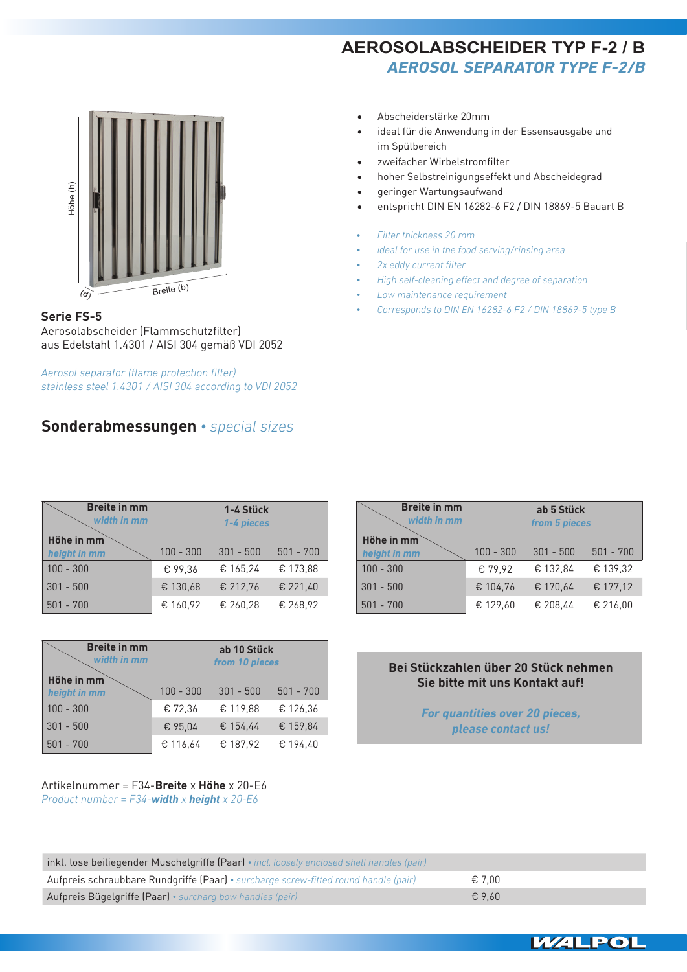**AEROSOLABSCHEIDER TYP F-2 / B** *Aerosol separator type F-2/B*

ideal für die Anwendung in der Essensausgabe und

hoher Selbstreinigungseffekt und Abscheidegrad

*• ideal for use in the food serving/rinsing area*

*• High self-cleaning effect and degree of separation*

*• Corresponds to DIN EN 16282-6 F2 / DIN 18869-5 type B*

entspricht DIN EN 16282-6 F2 / DIN 18869-5 Bauart B

Abscheiderstärke 20mm

zweifacher Wirbelstromfilter

geringer Wartungsaufwand

*• Low maintenance requirement*

*• Filter thickness 20 mm*

*• 2x eddy current filter*

im Spülbereich



### **Serie FS-5**

Aerosolabscheider (Flammschutzfilter) aus Edelstahl 1.4301 / AISI 304 gemäß VDI 2052

*Aerosol separator (flame protection filter) stainless steel 1.4301 / AISI 304 according to VDI 2052*

# **Sonderabmessungen** *• special sizes*

| <b>Breite in mm</b><br>width in mm |             | 1-4 Stück<br>1-4 pieces |             |                      |
|------------------------------------|-------------|-------------------------|-------------|----------------------|
| Höhe in mm<br>height in mm         | $100 - 300$ | $301 - 500$             | $501 - 700$ | Höhe in<br>height in |
| $100 - 300$                        | € 99.36     | € 165,24                | € 173,88    | $100 - 300$          |
| $301 - 500$                        | € 130,68    | € 212,76                | € 221,40    | $301 - 500$          |
| $501 - 700$                        | € 160,92    | € 260,28                | € 268,92    | $501 - 700$          |

| <b>Breite in mm</b><br>width in mm | ab 10 Stück<br>from 10 pieces |             |             |  |  |
|------------------------------------|-------------------------------|-------------|-------------|--|--|
| Höhe in mm<br>height in mm         | $100 - 300$                   | $301 - 500$ | $501 - 700$ |  |  |
| $100 - 300$                        | € 72,36                       | € 119,88    | € 126,36    |  |  |
| $301 - 500$                        | € 95,04                       | € 154.44    | € 159,84    |  |  |
| $501 - 700$                        | € 116,64                      | € 187,92    | € 194,40    |  |  |

#### Artikelnummer = F34-**Breite** x **Höhe** x 20-E6 *Product number = F34-width x height x 20-E6*

| <b>Breite in mm</b><br>width in mm | ab 5 Stück<br>from 5 pieces |             |             |  |  |
|------------------------------------|-----------------------------|-------------|-------------|--|--|
| Höhe in mm<br>height in mm         | $100 - 300$                 | $301 - 500$ | $501 - 700$ |  |  |
| $100 - 300$                        | € 79,92                     | € 132,84    | € 139.32    |  |  |
| $301 - 500$                        | € 104.76                    | € 170,64    | € 177,12    |  |  |
| $501 - 700$                        | € 129,60                    | € 208,44    | € 216.00    |  |  |

### **Bei Stückzahlen über 20 Stück nehmen Sie bitte mit uns Kontakt auf!**

*For quantities over 20 pieces, please contact us!*

| inkl. lose beiliegender Muschelgriffe (Paar) • incl. loosely enclosed shell handles (pair) |                 |  |  |  |
|--------------------------------------------------------------------------------------------|-----------------|--|--|--|
| Aufpreis schraubbare Rundgriffe (Paar) · surcharge screw-fitted round handle (pair)        | € 7.00          |  |  |  |
| Aufpreis Bügelgriffe (Paar) · surcharg bow handles (pair)                                  | $\epsilon$ 9.60 |  |  |  |



27EINLEITUNG ABSCHEIDER FILTER AKTIVKOHLE FILTERBOX AIRBOX GB AIRBOX GBV+GBG DACH VENTILATOREN COMPAKT LÜFTUNGSGERÄTE ROHR VENTILATOREN